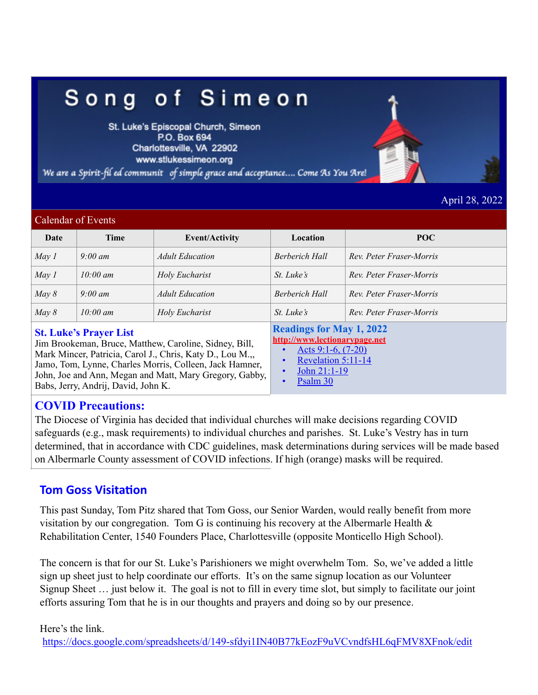# Song of Simeon

St. Luke's Episcopal Church, Simeon P.O. Box 694 Charlottesville, VA 22902 www.stlukessimeon.org

We are a Spirit-fil ed communit of simple grace and acceptance.... Come As You Are!

April 28, 2022

#### Calendar of Events

| Date  | Time                                                                                                                                                                                                      | <b>Event/Activity</b>  | Location                                                                                                          | POC                      |  |  |  |  |  |  |
|-------|-----------------------------------------------------------------------------------------------------------------------------------------------------------------------------------------------------------|------------------------|-------------------------------------------------------------------------------------------------------------------|--------------------------|--|--|--|--|--|--|
| May 1 | $9:00 \text{ }$ am                                                                                                                                                                                        | <b>Adult Education</b> | <b>Berberich Hall</b>                                                                                             | Rev. Peter Fraser-Morris |  |  |  |  |  |  |
| May 1 | $10:00 \text{ }$ am                                                                                                                                                                                       | Holy Eucharist         | $St.$ Luke's                                                                                                      | Rev. Peter Fraser-Morris |  |  |  |  |  |  |
| May 8 | $9:00 \text{ }$ am                                                                                                                                                                                        | <b>Adult Education</b> | <b>Berberich Hall</b>                                                                                             | Rev. Peter Fraser-Morris |  |  |  |  |  |  |
| May 8 | $10:00 \text{ }$ am                                                                                                                                                                                       | Holy Eucharist         | $St.$ Luke's                                                                                                      | Rev. Peter Fraser-Morris |  |  |  |  |  |  |
|       | <b>St. Luke's Prayer List</b><br>Jim Brookeman, Bruce, Matthew, Caroline, Sidney, Bill,<br>Mark Mincer, Patricia, Carol J., Chris, Katy D., Lou M.,,<br>Jame Tom Lynne Charles Morris Colleen Jook Hamper |                        | <b>Readings for May 1, 2022</b><br>http://www.lectionarypage.net<br>Acts $9:1-6$ , $(7-20)$<br>Revelation 5:11-14 |                          |  |  |  |  |  |  |

Jamo, Tom, Lynne, Charles Morris, Colleen, Jack Hamner, John, Joe and Ann, Megan and Matt, Mary Gregory, Gabby, Babs, Jerry, Andrij, David, John K.

• John 21:1-19

Psalm 30

### **COVID Precautions:**

The Diocese of Virginia has decided that individual churches will make decisions regarding COVID safeguards (e.g., mask requirements) to individual churches and parishes. St. Luke's Vestry has in turn determined, that in accordance with CDC guidelines, mask determinations during services will be made based on Albermarle County assessment of COVID infections. If high (orange) masks will be required.

### **Tom Goss Visitation**

This past Sunday, Tom Pitz shared that Tom Goss, our Senior Warden, would really benefit from more visitation by our congregation. Tom G is continuing his recovery at the Albermarle Health  $\&$ Rehabilitation Center, 1540 Founders Place, Charlottesville (opposite Monticello High School).

The concern is that for our St. Luke's Parishioners we might overwhelm Tom. So, we've added a little sign up sheet just to help coordinate our efforts. It's on the same signup location as our Volunteer Signup Sheet … just below it. The goal is not to fill in every time slot, but simply to facilitate our joint efforts assuring Tom that he is in our thoughts and prayers and doing so by our presence.

Here's the link. <https://docs.google.com/spreadsheets/d/149-sfdyi1IN40B77kEozF9uVCvndfsHL6qFMV8XFnok/edit>